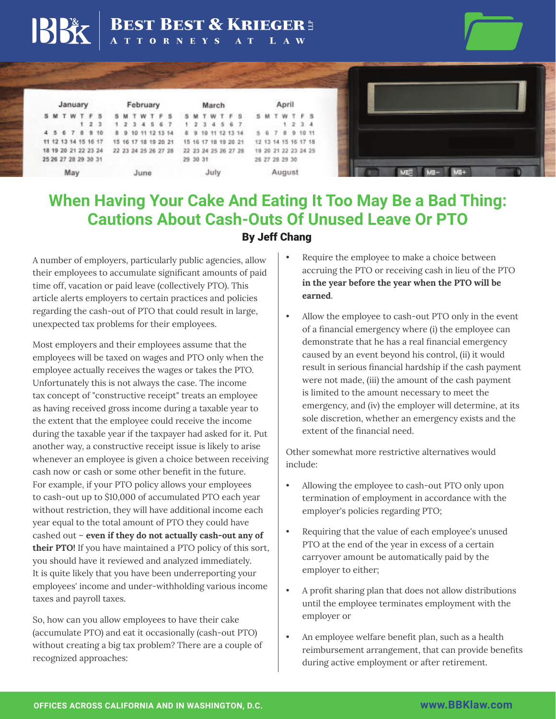## BEST BEST & KRIEGER E

| January |  |  |  |  |                      | February             |                         |  |  |  |  |                    | March                |                      |  |  |  |  |  |                      | April   |  |                      |  |  |  |  |
|---------|--|--|--|--|----------------------|----------------------|-------------------------|--|--|--|--|--------------------|----------------------|----------------------|--|--|--|--|--|----------------------|---------|--|----------------------|--|--|--|--|
|         |  |  |  |  | SMTWTFS              |                      | SMTWTFS SMTWTFS SMTWTFS |  |  |  |  |                    |                      |                      |  |  |  |  |  |                      |         |  |                      |  |  |  |  |
|         |  |  |  |  |                      | 123                  | 1 2 3 4 5 6 7           |  |  |  |  |                    |                      | 1 2 3 4 5 6 7        |  |  |  |  |  |                      | 1 2 3 4 |  |                      |  |  |  |  |
|         |  |  |  |  |                      | 4 5 6 7 8 9 10       |                         |  |  |  |  | 8 9 10 11 12 13 14 |                      |                      |  |  |  |  |  | 8 9 10 11 12 13 14   |         |  | 5 6 7 8 9 10 11      |  |  |  |  |
|         |  |  |  |  |                      | 11 12 13 14 15 16 17 | 15 16 17 18 19 20 21    |  |  |  |  |                    |                      |                      |  |  |  |  |  | 15 16 17 18 19 20 21 |         |  | 12 13 14 15 16 17 18 |  |  |  |  |
|         |  |  |  |  |                      | 18 19 20 21 22 23 24 |                         |  |  |  |  |                    | 22 23 24 25 26 27 28 | 22 23 24 25 26 27 28 |  |  |  |  |  |                      |         |  | 19 20 21 22 23 24 25 |  |  |  |  |
|         |  |  |  |  | 25 26 27 28 29 30 31 |                      |                         |  |  |  |  |                    |                      | 29 30 31             |  |  |  |  |  |                      |         |  | 26 27 28 29 30       |  |  |  |  |
| May     |  |  |  |  |                      |                      | June                    |  |  |  |  |                    |                      | July                 |  |  |  |  |  |                      | August  |  |                      |  |  |  |  |



## **When Having Your Cake And Eating It Too May Be a Bad Thing: Cautions About Cash-Outs Of Unused Leave Or PTO** By Jeff Chang

A number of employers, particularly public agencies, allow their employees to accumulate significant amounts of paid time off, vacation or paid leave (collectively PTO). This article alerts employers to certain practices and policies regarding the cash-out of PTO that could result in large, unexpected tax problems for their employees.

Most employers and their employees assume that the employees will be taxed on wages and PTO only when the employee actually receives the wages or takes the PTO. Unfortunately this is not always the case. The income tax concept of "constructive receipt" treats an employee as having received gross income during a taxable year to the extent that the employee could receive the income during the taxable year if the taxpayer had asked for it. Put another way, a constructive receipt issue is likely to arise whenever an employee is given a choice between receiving cash now or cash or some other benefit in the future. For example, if your PTO policy allows your employees to cash-out up to \$10,000 of accumulated PTO each year without restriction, they will have additional income each year equal to the total amount of PTO they could have cashed out – **even if they do not actually cash-out any of their PTO!** If you have maintained a PTO policy of this sort, you should have it reviewed and analyzed immediately. It is quite likely that you have been underreporting your employees' income and under-withholding various income taxes and payroll taxes.

So, how can you allow employees to have their cake (accumulate PTO) and eat it occasionally (cash-out PTO) without creating a big tax problem? There are a couple of recognized approaches:

- Require the employee to make a choice between accruing the PTO or receiving cash in lieu of the PTO **in the year before the year when the PTO will be earned**.
- Allow the employee to cash-out PTO only in the event of a financial emergency where (i) the employee can demonstrate that he has a real financial emergency caused by an event beyond his control, (ii) it would result in serious financial hardship if the cash payment were not made, (iii) the amount of the cash payment is limited to the amount necessary to meet the emergency, and (iv) the employer will determine, at its sole discretion, whether an emergency exists and the extent of the financial need.

Other somewhat more restrictive alternatives would include:

- Allowing the employee to cash-out PTO only upon termination of employment in accordance with the employer's policies regarding PTO;
- Requiring that the value of each employee's unused PTO at the end of the year in excess of a certain carryover amount be automatically paid by the employer to either;
- A profit sharing plan that does not allow distributions until the employee terminates employment with the employer or
- An employee welfare benefit plan, such as a health reimbursement arrangement, that can provide benefits during active employment or after retirement.